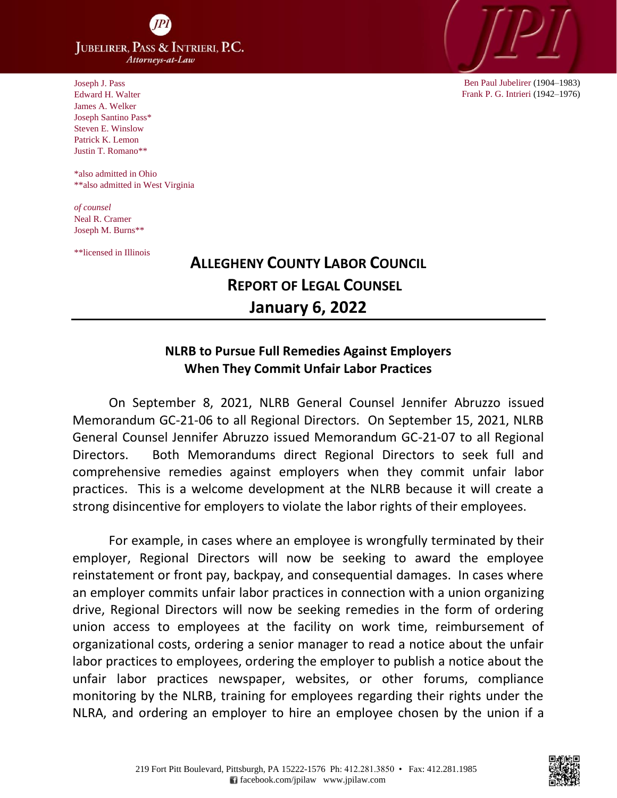**JUBELIRER, PASS & INTRIERI, P.C.** Attorneys-at-Law

Joseph J. Pass Edward H. Walter James A. Welker Joseph Santino Pass\* Steven E. Winslow Patrick K. Lemon Justin T. Romano\*\*

 \*also admitted in Ohio \*\*also admitted in West Virginia

*of counsel* Neal R. Cramer Joseph M. Burns\*\*

\*\*licensed in Illinois

## **ALLEGHENY COUNTY LABOR COUNCIL REPORT OF LEGAL COUNSEL January 6, 2022**

## **NLRB to Pursue Full Remedies Against Employers When They Commit Unfair Labor Practices**

On September 8, 2021, NLRB General Counsel Jennifer Abruzzo issued Memorandum GC-21-06 to all Regional Directors. On September 15, 2021, NLRB General Counsel Jennifer Abruzzo issued Memorandum GC-21-07 to all Regional Directors. Both Memorandums direct Regional Directors to seek full and comprehensive remedies against employers when they commit unfair labor practices. This is a welcome development at the NLRB because it will create a strong disincentive for employers to violate the labor rights of their employees.

For example, in cases where an employee is wrongfully terminated by their employer, Regional Directors will now be seeking to award the employee reinstatement or front pay, backpay, and consequential damages. In cases where an employer commits unfair labor practices in connection with a union organizing drive, Regional Directors will now be seeking remedies in the form of ordering union access to employees at the facility on work time, reimbursement of organizational costs, ordering a senior manager to read a notice about the unfair labor practices to employees, ordering the employer to publish a notice about the unfair labor practices newspaper, websites, or other forums, compliance monitoring by the NLRB, training for employees regarding their rights under the NLRA, and ordering an employer to hire an employee chosen by the union if a



Ben Paul Jubelirer (1904–1983) Frank P. G. Intrieri (1942–1976)